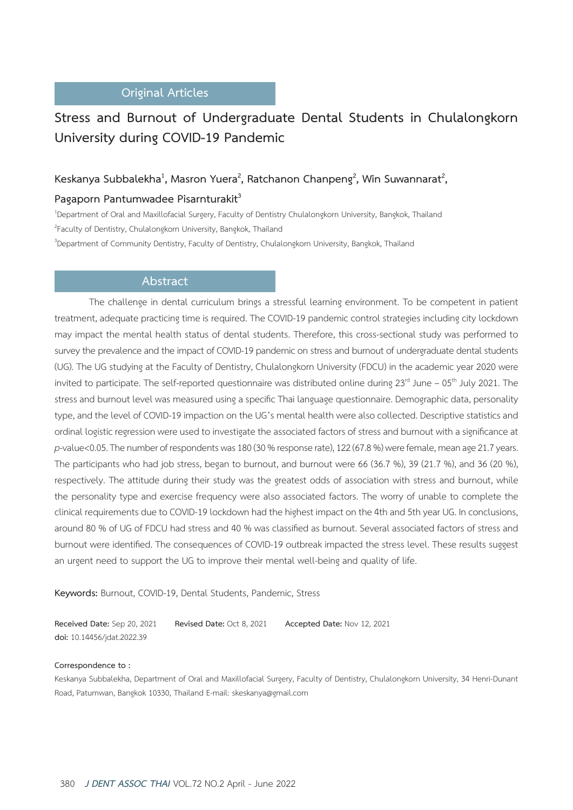## **Original Articles**

# **Stress and Burnout of Undergraduate Dental Students in Chulalongkorn University during COVID-19 Pandemic**

# Keskanya Subbalekha<sup>1</sup>, Masron Yuera<sup>2</sup>, Ratchanon Chanpeng<sup>2</sup>, Win Suwannarat<sup>2</sup>,

### Pagaporn Pantumwadee Pisarnturakit<sup>3</sup>

1 Department of Oral and Maxillofacial Surgery, Faculty of Dentistry Chulalongkorn University, Bangkok, Thailand 2 Faculty of Dentistry, Chulalongkorn University, Bangkok, Thailand

3 Department of Community Dentistry, Faculty of Dentistry, Chulalongkorn University, Bangkok, Thailand

# **Abstract**

The challenge in dental curriculum brings a stressful learning environment. To be competent in patient treatment, adequate practicing time is required. The COVID-19 pandemic control strategies including city lockdown may impact the mental health status of dental students. Therefore, this cross-sectional study was performed to survey the prevalence and the impact of COVID-19 pandemic on stress and burnout of undergraduate dental students (UG). The UG studying at the Faculty of Dentistry, Chulalongkorn University (FDCU) in the academic year 2020 were invited to participate. The self-reported questionnaire was distributed online during  $23^{rd}$  June – 05<sup>th</sup> July 2021. The stress and burnout level was measured using a specific Thai language questionnaire. Demographic data, personality type, and the level of COVID-19 impaction on the UG's mental health were also collected. Descriptive statistics and ordinal logistic regression were used to investigate the associated factors of stress and burnout with a significance at *p*-value<0.05. The number of respondents was 180 (30 % response rate), 122 (67.8 %) were female, mean age 21.7 years. The participants who had job stress, began to burnout, and burnout were 66 (36.7 %), 39 (21.7 %), and 36 (20 %), respectively. The attitude during their study was the greatest odds of association with stress and burnout, while the personality type and exercise frequency were also associated factors. The worry of unable to complete the clinical requirements due to COVID-19 lockdown had the highest impact on the 4th and 5th year UG. In conclusions, around 80 % of UG of FDCU had stress and 40 % was classified as burnout. Several associated factors of stress and burnout were identified. The consequences of COVID-19 outbreak impacted the stress level. These results suggest an urgent need to support the UG to improve their mental well-being and quality of life.

**Keywords:** Burnout, COVID-19, Dental Students, Pandemic, Stress

**Received Date:** Sep 20, 2021 **Revised Date:** Oct 8, 2021 **Accepted Date:** Nov 12, 2021 **doi:** 10.14456/jdat.2022.39

#### **Correspondence to :**

Keskanya Subbalekha, Department of Oral and Maxillofacial Surgery, Faculty of Dentistry, Chulalongkorn University, 34 Henri-Dunant Road, Patumwan, Bangkok 10330, Thailand E-mail: skeskanya@gmail.com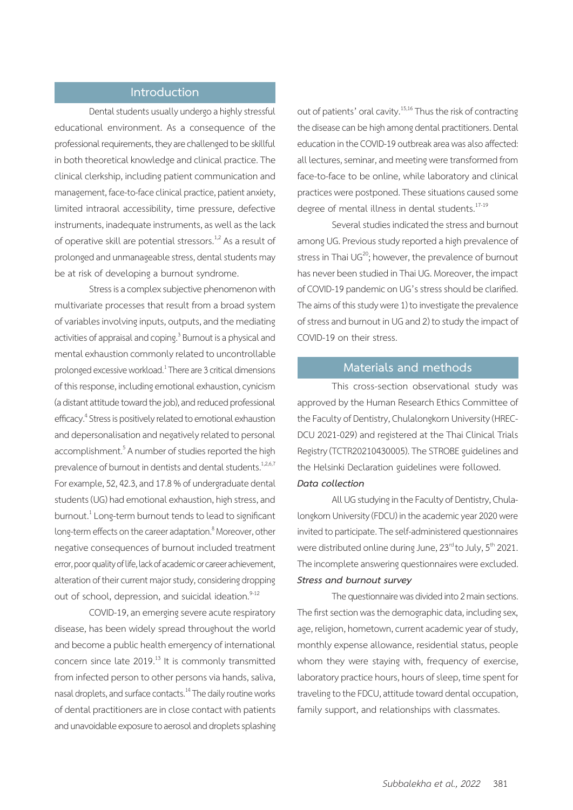## **Introduction**

Dental students usually undergo a highly stressful educational environment. As a consequence of the professional requirements, they are challenged to be skillful in both theoretical knowledge and clinical practice. The clinical clerkship, including patient communication and management, face-to-face clinical practice, patient anxiety, limited intraoral accessibility, time pressure, defective instruments, inadequate instruments, as well as the lack of operative skill are potential stressors.<sup>1,2</sup> As a result of prolonged and unmanageable stress, dental students may be at risk of developing a burnout syndrome.

Stress is a complex subjective phenomenon with multivariate processes that result from a broad system of variables involving inputs, outputs, and the mediating activities of appraisal and coping.<sup>3</sup> Burnout is a physical and mental exhaustion commonly related to uncontrollable prolonged excessive workload. $^1$ There are 3 critical dimensions of this response, including emotional exhaustion, cynicism (a distant attitude toward the job), and reduced professional efficacy.<sup>4</sup> Stress is positively related to emotional exhaustion and depersonalisation and negatively related to personal accomplishment.<sup>5</sup> A number of studies reported the high prevalence of burnout in dentists and dental students.<sup>1,2,6,7</sup> For example, 52, 42.3, and 17.8 % of undergraduate dental students (UG) had emotional exhaustion, high stress, and burnout.<sup>1</sup> Long-term burnout tends to lead to significant long-term effects on the career adaptation.<sup>8</sup> Moreover, other negative consequences of burnout included treatment error, poor quality of life, lack of academic or career achievement, alteration of their current major study, considering dropping out of school, depression, and suicidal ideation.<sup>9-12</sup>

COVID-19, an emerging severe acute respiratory disease, has been widely spread throughout the world and become a public health emergency of international concern since late 2019.<sup>13</sup> It is commonly transmitted from infected person to other persons via hands, saliva, nasal droplets, and surface contacts.14 The daily routine works of dental practitioners are in close contact with patients and unavoidable exposure to aerosol and droplets splashing out of patients' oral cavity.<sup>15,16</sup> Thus the risk of contracting the disease can be high among dental practitioners. Dental education in the COVID-19 outbreak area was also affected: all lectures, seminar, and meeting were transformed from face-to-face to be online, while laboratory and clinical practices were postponed. These situations caused some degree of mental illness in dental students.<sup>17-19</sup>

Several studies indicated the stress and burnout among UG. Previous study reported a high prevalence of stress in Thai  $UG^{20}$ ; however, the prevalence of burnout has never been studied in Thai UG. Moreover, the impact of COVID-19 pandemic on UG's stress should be clarified. The aims of this study were 1) to investigate the prevalence of stress and burnout in UG and 2) to study the impact of COVID-19 on their stress.

### **Materials and methods**

This cross-section observational study was approved by the Human Research Ethics Committee of the Faculty of Dentistry, Chulalongkorn University (HREC-DCU 2021-029) and registered at the Thai Clinical Trials Registry (TCTR20210430005). The STROBE guidelines and the Helsinki Declaration guidelines were followed.

# *Data collection*

All UG studying in the Faculty of Dentistry, Chulalongkorn University (FDCU) in the academic year 2020 were invited to participate. The self-administered questionnaires were distributed online during June, 23<sup>rd</sup> to July, 5<sup>th</sup> 2021. The incomplete answering questionnaires were excluded. *Stress and burnout survey* 

The questionnaire was divided into 2 main sections. The first section was the demographic data, including sex, age, religion, hometown, current academic year of study, monthly expense allowance, residential status, people whom they were staying with, frequency of exercise, laboratory practice hours, hours of sleep, time spent for traveling to the FDCU, attitude toward dental occupation, family support, and relationships with classmates.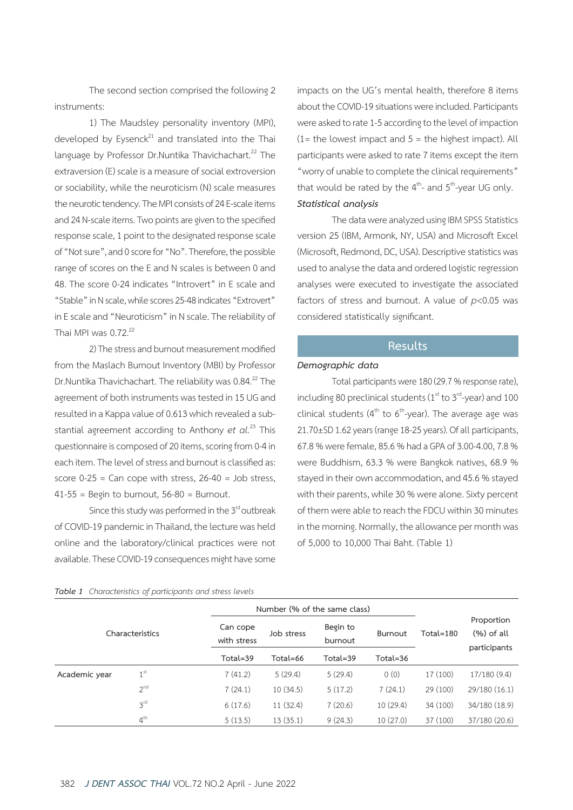The second section comprised the following 2 instruments:

1) The Maudsley personality inventory (MPI), developed by Eysenck $^{21}$  and translated into the Thai language by Professor Dr.Nuntika Thavichachart.<sup>22</sup> The extraversion (E) scale is a measure of social extroversion or sociability, while the neuroticism (N) scale measures the neurotic tendency. The MPI consists of 24 E-scale items and 24 N-scale items. Two points are given to the specified response scale, 1 point to the designated response scale of "Not sure", and 0 score for "No". Therefore, the possible range of scores on the E and N scales is between 0 and 48. The score 0-24 indicates "Introvert" in E scale and "Stable" in N scale, while scores 25-48 indicates "Extrovert" in E scale and "Neuroticism" in N scale. The reliability of Thai MPI was  $0.72^{22}$ 

2) The stress and burnout measurement modified from the Maslach Burnout Inventory (MBI) by Professor Dr.Nuntika Thavichachart. The reliability was 0.84.<sup>22</sup> The agreement of both instruments was tested in 15 UG and resulted in a Kappa value of 0.613 which revealed a substantial agreement according to Anthony *et al.*23 This questionnaire is composed of 20 items, scoring from 0-4 in each item. The level of stress and burnout is classified as: score  $0-25$  = Can cope with stress,  $26-40$  = Job stress,  $41-55$  = Begin to burnout,  $56-80$  = Burnout.

Since this study was performed in the 3<sup>rd</sup> outbreak of COVID-19 pandemic in Thailand, the lecture was held online and the laboratory/clinical practices were not available. These COVID-19 consequences might have some impacts on the UG's mental health, therefore 8 items about the COVID-19 situations were included. Participants were asked to rate 1-5 according to the level of impaction  $(1=$  the lowest impact and  $5=$  the highest impact). All participants were asked to rate 7 items except the item "worry of unable to complete the clinical requirements" that would be rated by the  $4<sup>th</sup>$ - and  $5<sup>th</sup>$ -year UG only. *Statistical analysis*

The data were analyzed using IBM SPSS Statistics version 25 (IBM, Armonk, NY, USA) and Microsoft Excel (Microsoft, Redmond, DC, USA). Descriptive statistics was used to analyse the data and ordered logistic regression analyses were executed to investigate the associated factors of stress and burnout. A value of *p*<0.05 was considered statistically significant.

# **Results**

## *Demographic data*

Total participants were 180 (29.7 % response rate), including 80 preclinical students ( $1<sup>st</sup>$  to  $3<sup>rd</sup>$ -year) and 100 clinical students ( $4<sup>th</sup>$  to  $6<sup>th</sup>$ -year). The average age was 21.70±SD 1.62 years (range 18-25 years). Of all participants, 67.8 % were female, 85.6 % had a GPA of 3.00-4.00, 7.8 % were Buddhism, 63.3 % were Bangkok natives, 68.9 % stayed in their own accommodation, and 45.6 % stayed with their parents, while 30 % were alone. Sixty percent of them were able to reach the FDCU within 30 minutes in the morning. Normally, the allowance per month was of 5,000 to 10,000 Thai Baht. (Table 1)

|  | Table 1 Characteristics of participants and stress levels |  |  |  |  |  |  |
|--|-----------------------------------------------------------|--|--|--|--|--|--|
|--|-----------------------------------------------------------|--|--|--|--|--|--|

| Characteristics |                 |                         | Number (% of the same class) |                     |                |           |                                             |
|-----------------|-----------------|-------------------------|------------------------------|---------------------|----------------|-----------|---------------------------------------------|
|                 |                 | Can cope<br>with stress | Job stress                   | Begin to<br>burnout | <b>Burnout</b> | Total=180 | Proportion<br>$(\%)$ of all<br>participants |
|                 |                 | Total=39                | Total=66                     | Total=39            | Total=36       |           |                                             |
| Academic year   | 1 <sup>st</sup> | 7(41.2)                 | 5(29.4)                      | 5(29.4)             | 0(0)           | 17 (100)  | 17/180(9.4)                                 |
|                 | 2 <sup>nd</sup> | 7(24.1)                 | 10(34.5)                     | 5(17.2)             | 7(24.1)        | 29 (100)  | 29/180 (16.1)                               |
|                 | 3 <sup>rd</sup> | 6(17.6)                 | 11(32.4)                     | 7(20.6)             | 10(29.4)       | 34 (100)  | 34/180 (18.9)                               |
|                 | 4 <sup>th</sup> | 5(13.5)                 | 13(35.1)                     | 9(24.3)             | 10(27.0)       | 37 (100)  | 37/180 (20.6)                               |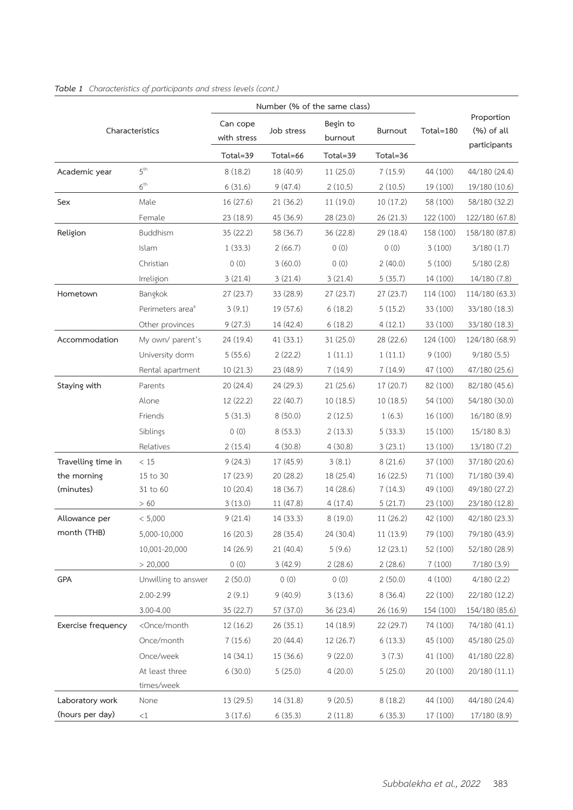|                    |                                                                                                                                             |                         | Number (% of the same class) |                     |           |           |                                            |
|--------------------|---------------------------------------------------------------------------------------------------------------------------------------------|-------------------------|------------------------------|---------------------|-----------|-----------|--------------------------------------------|
|                    | Characteristics                                                                                                                             | Can cope<br>with stress | Job stress                   | Begin to<br>burnout | Burnout   | Total=180 | Proportion<br>$(%)$ of all<br>participants |
|                    |                                                                                                                                             | Total=39                | Total=66                     | Total=39            | Total=36  |           |                                            |
| Academic year      | $5^{\text{th}}$                                                                                                                             | 8(18.2)                 | 18 (40.9)                    | 11 (25.0)           | 7(15.9)   | 44 (100)  | 44/180 (24.4)                              |
|                    | $6^{\text{th}}$                                                                                                                             | 6(31.6)                 | 9(47.4)                      | 2(10.5)             | 2(10.5)   | 19 (100)  | 19/180 (10.6)                              |
| Sex                | Male                                                                                                                                        | 16 (27.6)               | 21 (36.2)                    | 11 (19.0)           | 10(17.2)  | 58 (100)  | 58/180 (32.2)                              |
|                    | Female                                                                                                                                      | 23 (18.9)               | 45 (36.9)                    | 28 (23.0)           | 26 (21.3) | 122 (100) | 122/180 (67.8)                             |
| Religion           | Buddhism                                                                                                                                    | 35 (22.2)               | 58 (36.7)                    | 36 (22.8)           | 29 (18.4) | 158 (100) | 158/180 (87.8)                             |
|                    | Islam                                                                                                                                       | 1(33.3)                 | 2(66.7)                      | 0(0)                | 0(0)      | 3(100)    | 3/180(1.7)                                 |
|                    | Christian                                                                                                                                   | 0(0)                    | 3(60.0)                      | 0(0)                | 2(40.0)   | 5(100)    | 5/180(2.8)                                 |
|                    | Irreligion                                                                                                                                  | 3(21.4)                 | 3(21.4)                      | 3(21.4)             | 5(35.7)   | 14 (100)  | 14/180 (7.8)                               |
| Hometown           | Bangkok                                                                                                                                     | 27 (23.7)               | 33 (28.9)                    | 27 (23.7)           | 27 (23.7) | 114 (100) | 114/180 (63.3)                             |
|                    | Perimeters area <sup>ª</sup>                                                                                                                | 3(9.1)                  | 19 (57.6)                    | 6(18.2)             | 5(15.2)   | 33 (100)  | 33/180 (18.3)                              |
|                    | Other provinces                                                                                                                             | 9(27.3)                 | 14 (42.4)                    | 6(18.2)             | 4(12.1)   | 33 (100)  | 33/180 (18.3)                              |
| Accommodation      | My own/ parent's                                                                                                                            | 24 (19.4)               | 41 (33.1)                    | 31 (25.0)           | 28 (22.6) | 124 (100) | 124/180 (68.9)                             |
|                    | University dorm                                                                                                                             | 5(55.6)                 | 2(22.2)                      | 1(11.1)             | 1(11.1)   | 9(100)    | 9/180(5.5)                                 |
|                    | Rental apartment                                                                                                                            | 10(21.3)                | 23 (48.9)                    | 7(14.9)             | 7(14.9)   | 47 (100)  | 47/180 (25.6)                              |
| Staying with       | Parents                                                                                                                                     | 20 (24.4)               | 24 (29.3)                    | 21(25.6)            | 17 (20.7) | 82 (100)  | 82/180 (45.6)                              |
|                    | Alone                                                                                                                                       | 12 (22.2)               | 22 (40.7)                    | 10 (18.5)           | 10(18.5)  | 54 (100)  | 54/180 (30.0)                              |
|                    | Friends                                                                                                                                     | 5(31.3)                 | 8(50.0)                      | 2(12.5)             | 1(6.3)    | 16 (100)  | 16/180(8.9)                                |
|                    | Siblings                                                                                                                                    | 0(0)                    | 8(53.3)                      | 2(13.3)             | 5(33.3)   | 15 (100)  | 15/180 8.3)                                |
|                    | Relatives                                                                                                                                   | 2(15.4)                 | 4(30.8)                      | 4(30.8)             | 3(23.1)   | 13 (100)  | 13/180 (7.2)                               |
| Travelling time in | < 15                                                                                                                                        | 9(24.3)                 | 17 (45.9)                    | 3(8.1)              | 8(21.6)   | 37 (100)  | 37/180 (20.6)                              |
| the morning        | 15 to 30                                                                                                                                    | 17 (23.9)               | 20 (28.2)                    | 18 (25.4)           | 16 (22.5) | 71 (100)  | 71/180 (39.4)                              |
| (minutes)          | 31 to 60                                                                                                                                    | 10(20.4)                | 18 (36.7)                    | 14 (28.6)           | 7(14.3)   | 49 (100)  | 49/180 (27.2)                              |
|                    | >60                                                                                                                                         | 3(13.0)                 | 11 (47.8)                    | 4(17.4)             | 5(21.7)   | 23 (100)  | 23/180 (12.8)                              |
| Allowance per      | < 5,000                                                                                                                                     | 9(21.4)                 | 14 (33.3)                    | 8(19.0)             | 11 (26.2) | 42 (100)  | 42/180 (23.3)                              |
| month (THB)        | 5,000-10,000                                                                                                                                | 16 (20.3)               | 28 (35.4)                    | 24 (30.4)           | 11 (13.9) | 79 (100)  | 79/180 (43.9)                              |
|                    | 10,001-20,000                                                                                                                               | 14 (26.9)               | 21 (40.4)                    | 5(9.6)              | 12 (23.1) | 52 (100)  | 52/180 (28.9)                              |
|                    | > 20,000                                                                                                                                    | 0(0)                    | 3(42.9)                      | 2(28.6)             | 2(28.6)   | 7(100)    | 7/180 (3.9)                                |
| GPA                | Unwilling to answer                                                                                                                         | 2(50.0)                 | 0(0)                         | 0(0)                | 2(50.0)   | 4(100)    | 4/180(2.2)                                 |
|                    | 2.00-2.99                                                                                                                                   | 2(9.1)                  | 9(40.9)                      | 3(13.6)             | 8(36.4)   | 22 (100)  | 22/180 (12.2)                              |
|                    | 3.00-4.00                                                                                                                                   | 35 (22.7)               | 57 (37.0)                    | 36 (23.4)           | 26 (16.9) | 154 (100) | 154/180 (85.6)                             |
| Exercise frequency | <once month<="" td=""><td>12 (16.2)</td><td>26(35.1)</td><td>14 (18.9)</td><td>22 (29.7)</td><td>74 (100)</td><td>74/180 (41.1)</td></once> | 12 (16.2)               | 26(35.1)                     | 14 (18.9)           | 22 (29.7) | 74 (100)  | 74/180 (41.1)                              |
|                    | Once/month                                                                                                                                  | 7(15.6)                 | 20 (44.4)                    | 12 (26.7)           | 6(13.3)   | 45 (100)  | 45/180 (25.0)                              |
|                    | Once/week                                                                                                                                   | 14 (34.1)               | 15 (36.6)                    | 9(22.0)             | 3(7.3)    | 41 (100)  | 41/180 (22.8)                              |
|                    | At least three                                                                                                                              | 6(30.0)                 | 5(25.0)                      | 4(20.0)             | 5(25.0)   | 20 (100)  | 20/180 (11.1)                              |
|                    | times/week                                                                                                                                  |                         |                              |                     |           |           |                                            |
| Laboratory work    | None                                                                                                                                        | 13 (29.5)               | 14 (31.8)                    | 9(20.5)             | 8(18.2)   | 44 (100)  | 44/180 (24.4)                              |
| (hours per day)    | <1                                                                                                                                          | 3(17.6)                 | 6(35.3)                      | 2(11.8)             | 6(35.3)   | 17 (100)  | 17/180 (8.9)                               |

#### *Table 1 Characteristics of participants and stress levels (cont.)*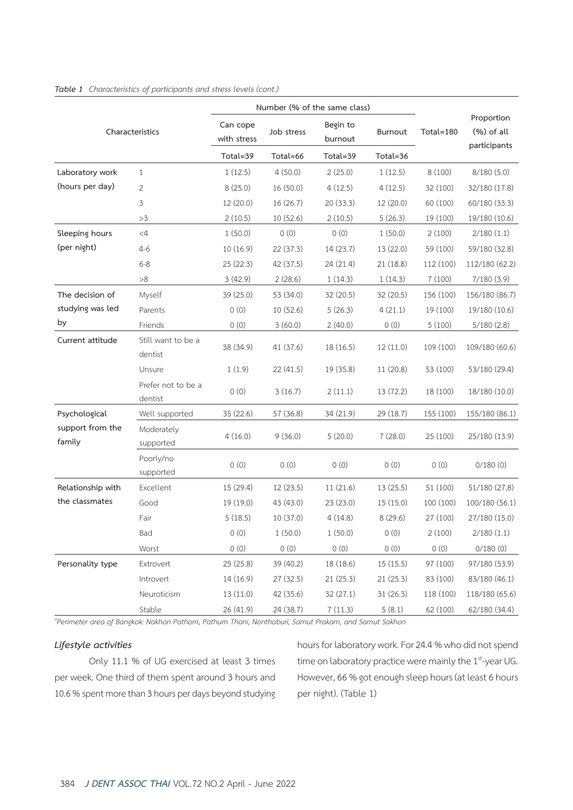| Number (% of the same class) |                               |                         |            |                     |                |           |                             |  |
|------------------------------|-------------------------------|-------------------------|------------|---------------------|----------------|-----------|-----------------------------|--|
|                              | Characteristics               | Can cope<br>with stress | Job stress | Begin to<br>burnout | <b>Burnout</b> | Total=180 | Proportion<br>$(\%)$ of all |  |
|                              |                               | Total=39                | Total=66   | Total=39            | Total=36       |           | participants                |  |
| Laboratory work              | 1                             | 1(12.5)                 | 4(50.0)    | 2(25.0)             | 1(12.5)        | 8 (100)   | 8/180(5.0)                  |  |
| (hours per day)              | 2                             | 8(25.0)                 | 16(50.0)   | 4(12.5)             | 4(12.5)        | 32 (100)  | 32/180 (17.8)               |  |
|                              | 3                             | 12 (20.0)               | 16 (26.7)  | 20 (33.3)           | 12 (20.0)      | 60 (100)  | 60/180 (33.3)               |  |
|                              | >3                            | 2(10.5)                 | 10(52.6)   | 2(10.5)             | 5(26.3)        | 19 (100)  | 19/180 (10.6)               |  |
| Sleeping hours               | $<$ 4                         | 1(50.0)                 | 0(0)       | 0(0)                | 1(50.0)        | 2(100)    | 2/180(1.1)                  |  |
| (per night)                  | $4 - 6$                       | 10 (16.9)               | 22 (37.3)  | 14 (23.7)           | 13 (22.0)      | 59 (100)  | 59/180 (32.8)               |  |
|                              | $6 - 8$                       | 25 (22.3)               | 42 (37.5)  | 24 (21.4)           | 21 (18.8)      | 112 (100) | 112/180 (62.2)              |  |
|                              | $>\!8$                        | 3(42.9)                 | 2(28.6)    | 1(14.3)             | 1(14.3)        | 7(100)    | 7/180(3.9)                  |  |
| The decision of              | Myself                        | 39 (25.0)               | 53 (34.0)  | 32 (20.5)           | 32 (20.5)      | 156 (100) | 156/180 (86.7)              |  |
| studying was led             | Parents                       | 0(0)                    | 10(52.6)   | 5(26.3)             | 4(21.1)        | 19 (100)  | 19/180 (10.6)               |  |
| by                           | Friends                       | 0(0)                    | 3(60.0)    | 2(40.0)             | 0(0)           | 5(100)    | 5/180(2.8)                  |  |
| Current attitude             | Still want to be a<br>dentist | 38 (34.9)               | 41 (37.6)  | 18 (16.5)           | 12 (11.0)      | 109 (100) | 109/180 (60.6)              |  |
|                              | Unsure                        | 1(1.9)                  | 22(41.5)   | 19 (35.8)           | 11 (20.8)      | 53 (100)  | 53/180 (29.4)               |  |
|                              | Prefer not to be a<br>dentist | 0(0)                    | 3(16.7)    | 2(11.1)             | 13 (72.2)      | 18 (100)  | 18/180 (10.0)               |  |
| Psychological                | Well supported                | 35 (22.6)               | 57 (36.8)  | 34 (21.9)           | 29 (18.7)      | 155 (100) | 155/180 (86.1)              |  |
| support from the<br>family   | Moderately<br>supported       | 4(16.0)                 | 9(36.0)    | 5(20.0)             | 7(28.0)        | 25 (100)  | 25/180 (13.9)               |  |
|                              | Poorly/no<br>supported        | 0(0)                    | 0(0)       | 0(0)                | 0(0)           | 0(0)      | 0/180(0)                    |  |
| Relationship with            | Excellent                     | 15 (29.4)               | 12 (23.5)  | 11 (21.6)           | 13(25.5)       | 51 (100)  | 51/180 (27.8)               |  |
| the classmates               | Good                          | 19 (19.0)               | 43 (43.0)  | 23 (23.0)           | 15(15.0)       | 100 (100) | 100/180 (56.1)              |  |
|                              | Fair                          | 5(18.5)                 | 10 (37.0)  | 4(14.8)             | 8(29.6)        | 27 (100)  | 27/180 (15.0)               |  |
|                              | Bad                           | 0(0)                    | 1(50.0)    | 1(50.0)             | 0(0)           | 2(100)    | 2/180(1.1)                  |  |
|                              | Worst                         | 0(0)                    | 0(0)       | 0(0)                | 0(0)           | 0(0)      | 0/180(0)                    |  |
| Personality type             | Extrovert                     | 25 (25.8)               | 39 (40.2)  | 18 (18.6)           | 15(15.5)       | 97 (100)  | 97/180 (53.9)               |  |
|                              | Introvert                     | 14 (16.9)               | 27 (32.5)  | 21 (25.3)           | 21 (25.3)      | 83 (100)  | 83/180 (46.1)               |  |
|                              | Neuroticism                   | 13 (11.0)               | 42 (35.6)  | 32 (27.1)           | 31 (26.3)      | 118 (100) | 118/180 (65.6)              |  |
|                              | Stable                        | 26 (41.9)               | 24 (38.7)  | 7(11.3)             | 5(8.1)         | 62 (100)  | 62/180 (34.4)               |  |

#### *Table 1 Characteristics of participants and stress levels (cont.)*

*a Perimeter area of Bangkok: Nakhon Pathom, Pathum Thani, Nonthaburi, Samut Prakarn, and Samut Sakhon*

#### *Lifestyle activities*

Only 11.1 % of UG exercised at least 3 times per week. One third of them spent around 3 hours and 10.6 % spent more than 3 hours per days beyond studying hours for laboratory work. For 24.4 % who did not spend time on laboratory practice were mainly the 1<sup>st</sup>-year UG. However, 66 % got enough sleep hours (at least 6 hours per night). (Table 1)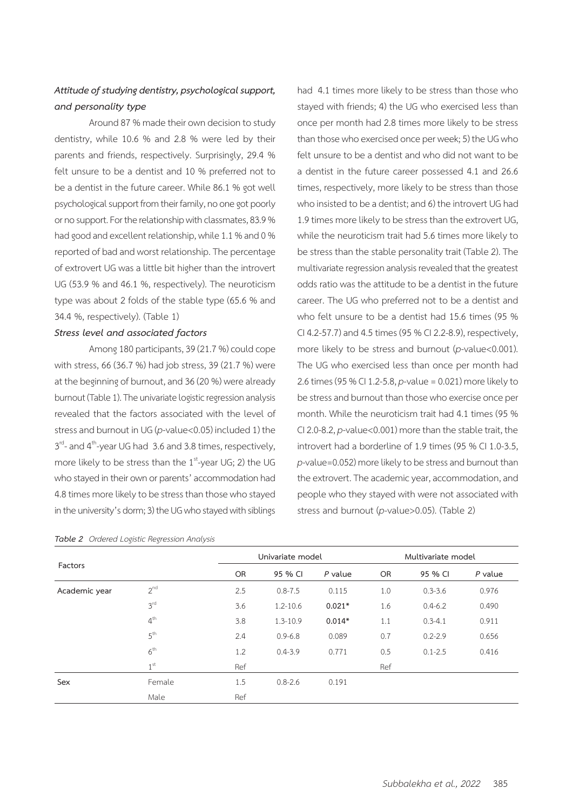# *Attitude of studying dentistry, psychological support, and personality type*

Around 87 % made their own decision to study dentistry, while 10.6 % and 2.8 % were led by their parents and friends, respectively. Surprisingly, 29.4 % felt unsure to be a dentist and 10 % preferred not to be a dentist in the future career. While 86.1 % got well psychological support from their family, no one got poorly or no support. For the relationship with classmates, 83.9 % had good and excellent relationship, while 1.1 % and 0 % reported of bad and worst relationship. The percentage of extrovert UG was a little bit higher than the introvert UG (53.9 % and 46.1 %, respectively). The neuroticism type was about 2 folds of the stable type (65.6 % and 34.4 %, respectively). (Table 1)

### *Stress level and associated factors*

Among 180 participants, 39 (21.7 %) could cope with stress, 66 (36.7 %) had job stress, 39 (21.7 %) were at the beginning of burnout, and 36 (20 %) were already burnout (Table 1). The univariate logistic regression analysis revealed that the factors associated with the level of stress and burnout in UG (*p*-value<0.05) included 1) the  $3<sup>rd</sup>$ - and 4<sup>th</sup>-year UG had 3.6 and 3.8 times, respectively, more likely to be stress than the  $1<sup>st</sup>$ -year UG; 2) the UG who stayed in their own or parents' accommodation had 4.8 times more likely to be stress than those who stayed in the university's dorm; 3) the UG who stayed with siblings

|  |  |  | Table 2 Ordered Logistic Regression Analysis |  |
|--|--|--|----------------------------------------------|--|
|--|--|--|----------------------------------------------|--|

had 4.1 times more likely to be stress than those who stayed with friends; 4) the UG who exercised less than once per month had 2.8 times more likely to be stress than those who exercised once per week; 5) the UG who felt unsure to be a dentist and who did not want to be a dentist in the future career possessed 4.1 and 26.6 times, respectively, more likely to be stress than those who insisted to be a dentist; and 6) the introvert UG had 1.9 times more likely to be stress than the extrovert UG, while the neuroticism trait had 5.6 times more likely to be stress than the stable personality trait (Table 2). The multivariate regression analysis revealed that the greatest odds ratio was the attitude to be a dentist in the future career. The UG who preferred not to be a dentist and who felt unsure to be a dentist had 15.6 times (95 % CI 4.2-57.7) and 4.5 times (95 % CI 2.2-8.9), respectively, more likely to be stress and burnout (*p*-value<0.001). The UG who exercised less than once per month had 2.6 times (95 % CI 1.2-5.8, *p*-value = 0.021) more likely to be stress and burnout than those who exercise once per month. While the neuroticism trait had 4.1 times (95 % CI 2.0-8.2, *p*-value<0.001) more than the stable trait, the introvert had a borderline of 1.9 times (95 % CI 1.0-3.5, *p*-value=0.052) more likely to be stress and burnout than the extrovert. The academic year, accommodation, and people who they stayed with were not associated with stress and burnout (*p*-value>0.05). (Table 2)

| Factors       |                 |           | Univariate model |           |           | Multivariate model |           |  |  |
|---------------|-----------------|-----------|------------------|-----------|-----------|--------------------|-----------|--|--|
|               |                 | <b>OR</b> | 95 % CI          | $P$ value | <b>OR</b> | 95 % CI            | $P$ value |  |  |
| Academic year | 2 <sup>nd</sup> | 2.5       | $0.8 - 7.5$      | 0.115     | 1.0       | $0.3 - 3.6$        | 0.976     |  |  |
|               | 3 <sup>rd</sup> | 3.6       | $1.2 - 10.6$     | $0.021*$  | 1.6       | $0.4 - 6.2$        | 0.490     |  |  |
|               | 4 <sup>th</sup> | 3.8       | $1.3 - 10.9$     | $0.014*$  | 1.1       | $0.3 - 4.1$        | 0.911     |  |  |
|               | 5 <sup>th</sup> | 2.4       | $0.9 - 6.8$      | 0.089     | 0.7       | $0.2 - 2.9$        | 0.656     |  |  |
|               | 6 <sup>th</sup> | 1.2       | $0.4 - 3.9$      | 0.771     | 0.5       | $0.1 - 2.5$        | 0.416     |  |  |
|               | 1 <sup>st</sup> | Ref       |                  |           | Ref       |                    |           |  |  |
| Sex           | Female          | 1.5       | $0.8 - 2.6$      | 0.191     |           |                    |           |  |  |
|               | Male            | Ref       |                  |           |           |                    |           |  |  |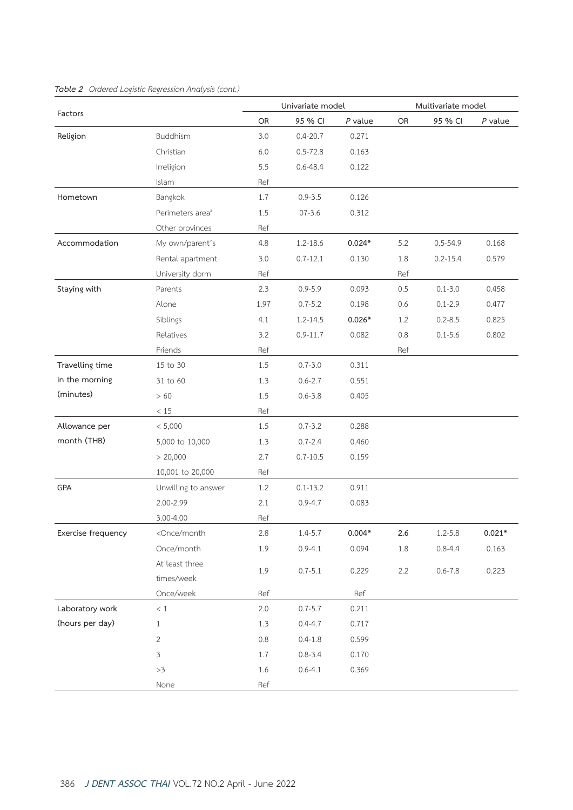|                    |                                                                                                                                                                             |         | Univariate model |           | Multivariate model |              |           |
|--------------------|-----------------------------------------------------------------------------------------------------------------------------------------------------------------------------|---------|------------------|-----------|--------------------|--------------|-----------|
| Factors            |                                                                                                                                                                             | OR      | 95 % CI          | $P$ value | OR                 | 95 % CI      | $P$ value |
| Religion           | Buddhism                                                                                                                                                                    | 3.0     | $0.4 - 20.7$     | 0.271     |                    |              |           |
|                    | Christian                                                                                                                                                                   | $6.0$   | $0.5 - 72.8$     | 0.163     |                    |              |           |
|                    | Irreligion                                                                                                                                                                  | 5.5     | $0.6 - 48.4$     | 0.122     |                    |              |           |
|                    | Islam                                                                                                                                                                       | Ref     |                  |           |                    |              |           |
| Hometown           | Bangkok                                                                                                                                                                     | 1.7     | $0.9 - 3.5$      | 0.126     |                    |              |           |
|                    | Perimeters area <sup>ª</sup>                                                                                                                                                | 1.5     | $07 - 3.6$       | 0.312     |                    |              |           |
|                    | Other provinces                                                                                                                                                             | Ref     |                  |           |                    |              |           |
| Accommodation      | My own/parent's                                                                                                                                                             | 4.8     | 1.2-18.6         | $0.024*$  | 5.2                | $0.5 - 54.9$ | 0.168     |
|                    | Rental apartment                                                                                                                                                            | 3.0     | $0.7 - 12.1$     | 0.130     | 1.8                | $0.2 - 15.4$ | 0.579     |
|                    | University dorm                                                                                                                                                             | Ref     |                  |           | Ref                |              |           |
| Staying with       | Parents                                                                                                                                                                     | 2.3     | $0.9 - 5.9$      | 0.093     | 0.5                | $0.1 - 3.0$  | 0.458     |
|                    | Alone                                                                                                                                                                       | 1.97    | $0.7 - 5.2$      | 0.198     | 0.6                | $0.1 - 2.9$  | 0.477     |
|                    | Siblings                                                                                                                                                                    | 4.1     | $1.2 - 14.5$     | $0.026*$  | 1.2                | $0.2 - 8.5$  | 0.825     |
|                    | Relatives                                                                                                                                                                   | 3.2     | $0.9 - 11.7$     | 0.082     | 0.8                | $0.1 - 5.6$  | 0.802     |
|                    | Friends                                                                                                                                                                     | Ref     |                  |           | Ref                |              |           |
| Travelling time    | 15 to 30                                                                                                                                                                    | 1.5     | $0.7 - 3.0$      | 0.311     |                    |              |           |
| in the morning     | 31 to 60                                                                                                                                                                    | 1.3     | $0.6 - 2.7$      | 0.551     |                    |              |           |
| (minutes)          | >60                                                                                                                                                                         | 1.5     | $0.6 - 3.8$      | 0.405     |                    |              |           |
|                    | $<15\,$                                                                                                                                                                     | Ref     |                  |           |                    |              |           |
| Allowance per      | < 5,000                                                                                                                                                                     | 1.5     | $0.7 - 3.2$      | 0.288     |                    |              |           |
| month (THB)        | 5,000 to 10,000                                                                                                                                                             | 1.3     | $0.7 - 2.4$      | 0.460     |                    |              |           |
|                    | > 20,000                                                                                                                                                                    | 2.7     | $0.7 - 10.5$     | 0.159     |                    |              |           |
|                    | 10,001 to 20,000                                                                                                                                                            | Ref     |                  |           |                    |              |           |
| GPA                | Unwilling to answer                                                                                                                                                         | 1.2     | $0.1 - 13.2$     | 0.911     |                    |              |           |
|                    | 2.00-2.99                                                                                                                                                                   | 2.1     | $0.9 - 4.7$      | 0.083     |                    |              |           |
|                    | 3.00-4.00                                                                                                                                                                   | Ref     |                  |           |                    |              |           |
| Exercise frequency | <once month<="" td=""><td>2.8</td><td><math>1.4 - 5.7</math></td><td><math>0.004*</math></td><td>2.6</td><td><math>1.2 - 5.8</math></td><td><math>0.021*</math></td></once> | 2.8     | $1.4 - 5.7$      | $0.004*$  | 2.6                | $1.2 - 5.8$  | $0.021*$  |
|                    | Once/month                                                                                                                                                                  | 1.9     | $0.9 - 4.1$      | 0.094     | 1.8                | $0.8 - 4.4$  | 0.163     |
|                    | At least three                                                                                                                                                              | 1.9     | $0.7 - 5.1$      | 0.229     | 2.2                | $0.6 - 7.8$  | 0.223     |
|                    | times/week                                                                                                                                                                  |         |                  |           |                    |              |           |
|                    | Once/week                                                                                                                                                                   | Ref     |                  | Ref       |                    |              |           |
| Laboratory work    | $\,<\,1$                                                                                                                                                                    | 2.0     | $0.7 - 5.7$      | 0.211     |                    |              |           |
| (hours per day)    | $1\,$                                                                                                                                                                       | 1.3     | $0.4 - 4.7$      | 0.717     |                    |              |           |
|                    | $\sqrt{2}$                                                                                                                                                                  | $0.8\,$ | $0.4 - 1.8$      | 0.599     |                    |              |           |
|                    | $\mathfrak{Z}$                                                                                                                                                              | 1.7     | $0.8 - 3.4$      | 0.170     |                    |              |           |
|                    | >3                                                                                                                                                                          | 1.6     | $0.6 - 4.1$      | 0.369     |                    |              |           |
|                    | None                                                                                                                                                                        | Ref     |                  |           |                    |              |           |

### *Table 2 Ordered Logistic Regression Analysis (cont.)*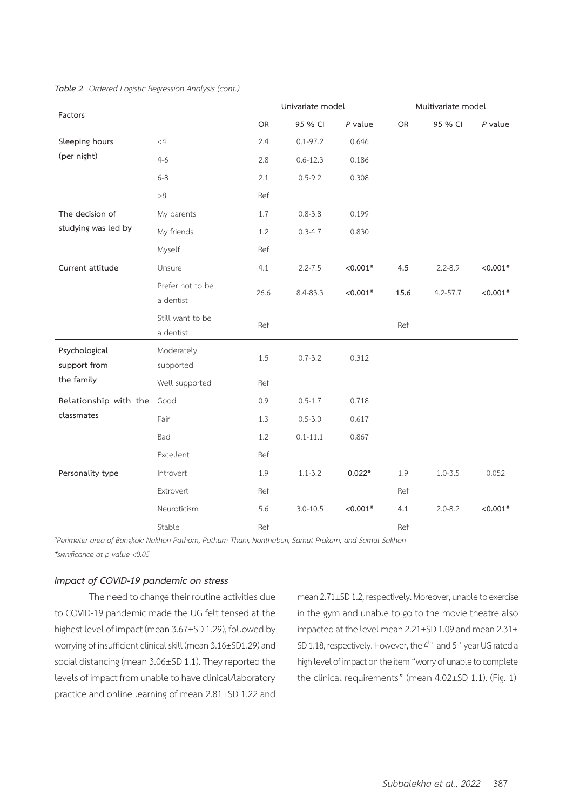| Factors                       |                               |      | Univariate model |            | Multivariate model |              |            |
|-------------------------------|-------------------------------|------|------------------|------------|--------------------|--------------|------------|
|                               |                               | OR   | 95 % CI          | $P$ value  | OR                 | 95 % CI      | $P$ value  |
| Sleeping hours                | <4                            | 2.4  | $0.1 - 97.2$     | 0.646      |                    |              |            |
| (per night)                   | $4 - 6$                       | 2.8  | $0.6 - 12.3$     | 0.186      |                    |              |            |
|                               | $6 - 8$                       | 2.1  | $0.5 - 9.2$      | 0.308      |                    |              |            |
|                               | >8                            | Ref  |                  |            |                    |              |            |
| The decision of               | My parents                    | 1.7  | $0.8 - 3.8$      | 0.199      |                    |              |            |
| studying was led by           | My friends                    | 1.2  | $0.3 - 4.7$      | 0.830      |                    |              |            |
|                               | Myself                        | Ref  |                  |            |                    |              |            |
| Current attitude              | Unsure                        | 4.1  | $2.2 - 7.5$      | $< 0.001*$ | 4.5                | $2.2 - 8.9$  | $< 0.001*$ |
|                               | Prefer not to be<br>a dentist | 26.6 | 8.4-83.3         | $< 0.001*$ | 15.6               | $4.2 - 57.7$ | $< 0.001*$ |
|                               | Still want to be<br>a dentist | Ref  |                  |            | Ref                |              |            |
| Psychological<br>support from | Moderately<br>supported       | 1.5  | $0.7 - 3.2$      | 0.312      |                    |              |            |
| the family                    | Well supported                | Ref  |                  |            |                    |              |            |
| Relationship with the         | Good                          | 0.9  | $0.5 - 1.7$      | 0.718      |                    |              |            |
| classmates                    | Fair                          | 1.3  | $0.5 - 3.0$      | 0.617      |                    |              |            |
|                               | Bad                           | 1.2  | $0.1 - 11.1$     | 0.867      |                    |              |            |
|                               | Excellent                     | Ref  |                  |            |                    |              |            |
| Personality type              | Introvert                     | 1.9  | $1.1 - 3.2$      | $0.022*$   | 1.9                | $1.0 - 3.5$  | 0.052      |
|                               | Extrovert                     | Ref  |                  |            | Ref                |              |            |
|                               | Neuroticism                   | 5.6  | $3.0 - 10.5$     | $< 0.001*$ | 4.1                | $2.0 - 8.2$  | $< 0.001*$ |
|                               | Stable                        | Ref  |                  |            | Ref                |              |            |

#### *Table 2 Ordered Logistic Regression Analysis (cont.)*

*a Perimeter area of Bangkok: Nakhon Pathom, Pathum Thani, Nonthaburi, Samut Prakarn, and Samut Sakhon \*significance at p-value <0.05*

#### *Impact of COVID-19 pandemic on stress*

The need to change their routine activities due to COVID-19 pandemic made the UG felt tensed at the highest level of impact (mean 3.67±SD 1.29), followed by worrying of insufficient clinical skill (mean 3.16±SD1.29) and social distancing (mean 3.06±SD 1.1). They reported the levels of impact from unable to have clinical/laboratory practice and online learning of mean 2.81±SD 1.22 and

mean 2.71±SD 1.2, respectively. Moreover, unable to exercise in the gym and unable to go to the movie theatre also impacted at the level mean 2.21±SD 1.09 and mean 2.31± SD 1.18, respectively. However, the 4<sup>th</sup>- and 5<sup>th</sup>-year UG rated a high level of impact on the item "worry of unable to complete the clinical requirements" (mean 4.02±SD 1.1). (Fig. 1)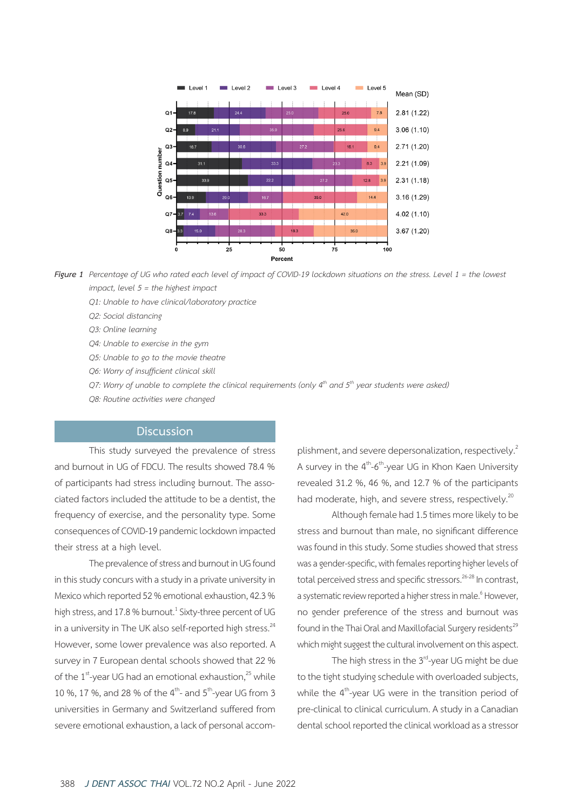

*Figure 1 Percentage of UG who rated each level of impact of COVID-19 lockdown situations on the stress. Level 1 = the lowest impact, level 5 = the highest impact*

- *Q1: Unable to have clinical/laboratory practice*
- *Q2: Social distancing*
- *Q3: Online learning*
- *Q4: Unable to exercise in the gym*
- *Q5: Unable to go to the movie theatre*
- *Q6: Worry of insufficient clinical skill*
- *Q7: Worry of unable to complete the clinical requirements (only 4th and 5th year students were asked)*
- *Q8: Routine activities were changed*

#### **Discussion**

This study surveyed the prevalence of stress and burnout in UG of FDCU. The results showed 78.4 % of participants had stress including burnout. The associated factors included the attitude to be a dentist, the frequency of exercise, and the personality type. Some consequences of COVID-19 pandemic lockdown impacted their stress at a high level.

The prevalence of stress and burnout in UG found in this study concurs with a study in a private university in Mexico which reported 52 % emotional exhaustion, 42.3 % high stress, and 17.8 % burnout. $^1$  Sixty-three percent of UG in a university in The UK also self-reported high stress.<sup>24</sup> However, some lower prevalence was also reported. A survey in 7 European dental schools showed that 22 % of the  $1^{st}$ -year UG had an emotional exhaustion, $^{25}$  while 10 %, 17 %, and 28 % of the  $4^{th}$ - and  $5^{th}$ -year UG from 3 universities in Germany and Switzerland suffered from severe emotional exhaustion, a lack of personal accomplishment, and severe depersonalization, respectively.<sup>2</sup> A survey in the  $4<sup>th</sup> - 6<sup>th</sup> - y$ ear UG in Khon Kaen University revealed 31.2 %, 46 %, and 12.7 % of the participants had moderate, high, and severe stress, respectively.<sup>20</sup>

Although female had 1.5 times more likely to be stress and burnout than male, no significant difference was found in this study. Some studies showed that stress was a gender-specific, with females reporting higher levels of total perceived stress and specific stressors.<sup>26-28</sup> In contrast, a systematic review reported a higher stress in male.<sup>6</sup> However, no gender preference of the stress and burnout was found in the Thai Oral and Maxillofacial Surgery residents<sup>29</sup> which might suggest the cultural involvement on this aspect.

The high stress in the 3<sup>rd</sup>-year UG might be due to the tight studying schedule with overloaded subjects, while the 4<sup>th</sup>-year UG were in the transition period of pre-clinical to clinical curriculum. A study in a Canadian dental school reported the clinical workload as a stressor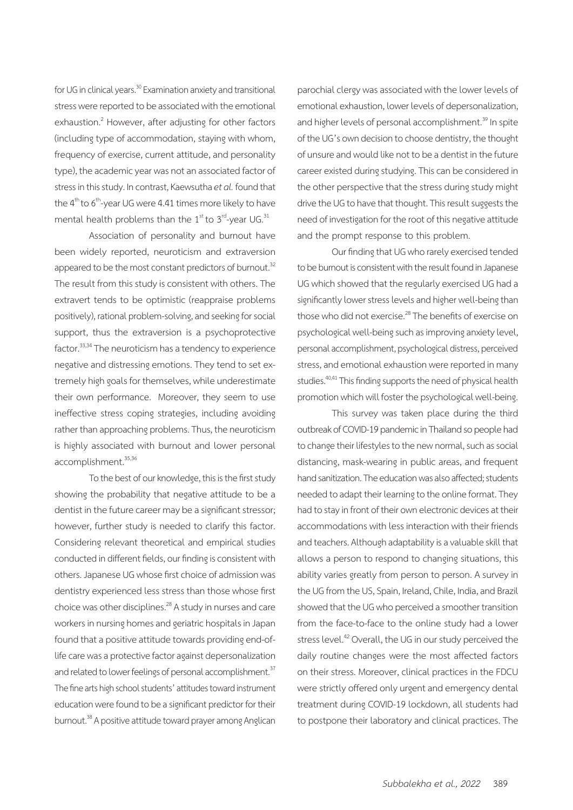for UG in clinical years.<sup>30</sup> Examination anxiety and transitional stress were reported to be associated with the emotional exhaustion.<sup>2</sup> However, after adjusting for other factors (including type of accommodation, staying with whom, frequency of exercise, current attitude, and personality type), the academic year was not an associated factor of stress in this study. In contrast, Kaewsutha *et al.* found that the  $4<sup>th</sup>$  to  $6<sup>th</sup>$ -year UG were 4.41 times more likely to have mental health problems than the  $1<sup>st</sup>$  to  $3<sup>rd</sup>$ -year UG.<sup>31</sup>

Association of personality and burnout have been widely reported, neuroticism and extraversion appeared to be the most constant predictors of burnout.<sup>32</sup> The result from this study is consistent with others. The extravert tends to be optimistic (reappraise problems positively), rational problem-solving, and seeking for social support, thus the extraversion is a psychoprotective factor.<sup>33,34</sup> The neuroticism has a tendency to experience negative and distressing emotions. They tend to set extremely high goals for themselves, while underestimate their own performance. Moreover, they seem to use ineffective stress coping strategies, including avoiding rather than approaching problems. Thus, the neuroticism is highly associated with burnout and lower personal accomplishment.<sup>35,36</sup>

To the best of our knowledge, this is the first study showing the probability that negative attitude to be a dentist in the future career may be a significant stressor; however, further study is needed to clarify this factor. Considering relevant theoretical and empirical studies conducted in different fields, our finding is consistent with others. Japanese UG whose first choice of admission was dentistry experienced less stress than those whose first choice was other disciplines.<sup>28</sup> A study in nurses and care workers in nursing homes and geriatric hospitals in Japan found that a positive attitude towards providing end-oflife care was a protective factor against depersonalization and related to lower feelings of personal accomplishment.<sup>37</sup> The fine arts high school students' attitudes toward instrument education were found to be a significant predictor for their burnout.<sup>38</sup> A positive attitude toward prayer among Anglican

parochial clergy was associated with the lower levels of emotional exhaustion, lower levels of depersonalization, and higher levels of personal accomplishment.<sup>39</sup> In spite of the UG's own decision to choose dentistry, the thought of unsure and would like not to be a dentist in the future career existed during studying. This can be considered in the other perspective that the stress during study might drive the UG to have that thought. This result suggests the need of investigation for the root of this negative attitude and the prompt response to this problem.

Our finding that UG who rarely exercised tended to be burnout is consistent with the result found in Japanese UG which showed that the regularly exercised UG had a significantly lower stress levels and higher well-being than those who did not exercise.<sup>28</sup> The benefits of exercise on psychological well-being such as improving anxiety level, personal accomplishment, psychological distress, perceived stress, and emotional exhaustion were reported in many studies.<sup>40,41</sup> This finding supports the need of physical health promotion which will foster the psychological well-being.

This survey was taken place during the third outbreak of COVID-19 pandemic in Thailand so people had to change their lifestyles to the new normal, such as social distancing, mask-wearing in public areas, and frequent hand sanitization. The education was also affected; students needed to adapt their learning to the online format. They had to stay in front of their own electronic devices at their accommodations with less interaction with their friends and teachers. Although adaptability is a valuable skill that allows a person to respond to changing situations, this ability varies greatly from person to person. A survey in the UG from the US, Spain, Ireland, Chile, India, and Brazil showed that the UG who perceived a smoother transition from the face-to-face to the online study had a lower stress level.<sup>42</sup> Overall, the UG in our study perceived the daily routine changes were the most affected factors on their stress. Moreover, clinical practices in the FDCU were strictly offered only urgent and emergency dental treatment during COVID-19 lockdown, all students had to postpone their laboratory and clinical practices. The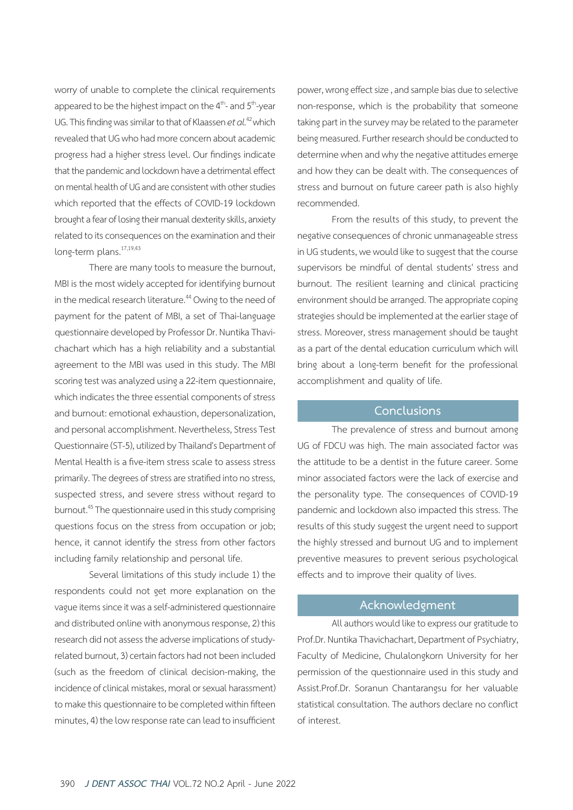worry of unable to complete the clinical requirements appeared to be the highest impact on the  $4<sup>th</sup>$ - and  $5<sup>th</sup>$ -year UG. This finding was similar to that of Klaassen *et al.*42 which revealed that UG who had more concern about academic progress had a higher stress level. Our findings indicate that the pandemic and lockdown have a detrimental effect on mental health of UG and are consistent with other studies which reported that the effects of COVID-19 lockdown brought a fear of losing their manual dexterity skills, anxiety related to its consequences on the examination and their long-term plans.<sup>17,19,43</sup>

There are many tools to measure the burnout, MBI is the most widely accepted for identifying burnout in the medical research literature.<sup>44</sup> Owing to the need of payment for the patent of MBI, a set of Thai-language questionnaire developed by Professor Dr. Nuntika Thavichachart which has a high reliability and a substantial agreement to the MBI was used in this study. The MBI scoring test was analyzed using a 22-item questionnaire, which indicates the three essential components of stress and burnout: emotional exhaustion, depersonalization, and personal accomplishment. Nevertheless, Stress Test Questionnaire (ST-5), utilized by Thailand's Department of Mental Health is a five-item stress scale to assess stress primarily. The degrees of stress are stratified into no stress, suspected stress, and severe stress without regard to burnout.45 The questionnaire used in this study comprising questions focus on the stress from occupation or job; hence, it cannot identify the stress from other factors including family relationship and personal life.

Several limitations of this study include 1) the respondents could not get more explanation on the vague items since it was a self-administered questionnaire and distributed online with anonymous response, 2) this research did not assess the adverse implications of studyrelated burnout, 3) certain factors had not been included (such as the freedom of clinical decision-making, the incidence of clinical mistakes, moral or sexual harassment) to make this questionnaire to be completed within fifteen minutes, 4) the low response rate can lead to insufficient

power, wrong effect size , and sample bias due to selective non-response, which is the probability that someone taking part in the survey may be related to the parameter being measured. Further research should be conducted to determine when and why the negative attitudes emerge and how they can be dealt with. The consequences of stress and burnout on future career path is also highly recommended.

From the results of this study, to prevent the negative consequences of chronic unmanageable stress in UG students, we would like to suggest that the course supervisors be mindful of dental students' stress and burnout. The resilient learning and clinical practicing environment should be arranged. The appropriate coping strategies should be implemented at the earlier stage of stress. Moreover, stress management should be taught as a part of the dental education curriculum which will bring about a long-term benefit for the professional accomplishment and quality of life.

### **Conclusions**

The prevalence of stress and burnout among UG of FDCU was high. The main associated factor was the attitude to be a dentist in the future career. Some minor associated factors were the lack of exercise and the personality type. The consequences of COVID-19 pandemic and lockdown also impacted this stress. The results of this study suggest the urgent need to support the highly stressed and burnout UG and to implement preventive measures to prevent serious psychological effects and to improve their quality of lives.

#### **Acknowledgment**

All authors would like to express our gratitude to Prof.Dr. Nuntika Thavichachart, Department of Psychiatry, Faculty of Medicine, Chulalongkorn University for her permission of the questionnaire used in this study and Assist.Prof.Dr. Soranun Chantarangsu for her valuable statistical consultation. The authors declare no conflict of interest.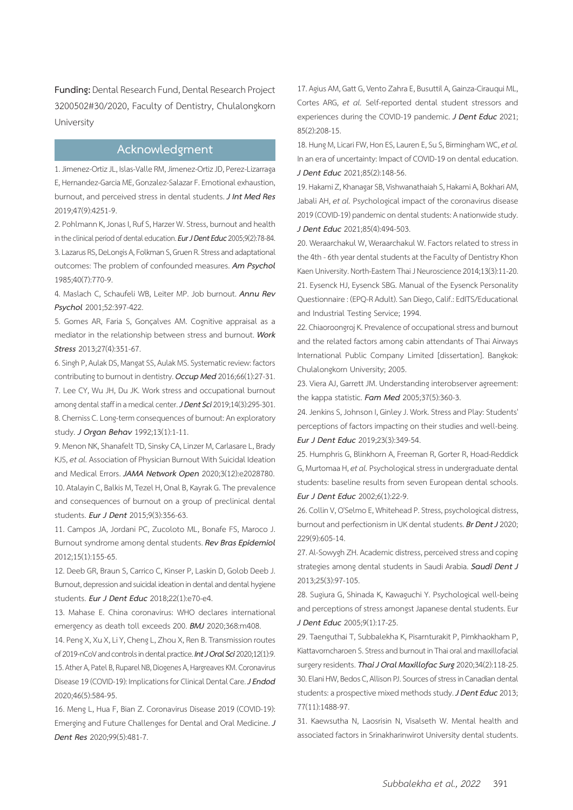**Funding:** Dental Research Fund, Dental Research Project 3200502#30/2020, Faculty of Dentistry, Chulalongkorn University

#### **Acknowledgment**

1. Jimenez-Ortiz JL, Islas-Valle RM, Jimenez-Ortiz JD, Perez-Lizarraga E, Hernandez-Garcia ME, Gonzalez-Salazar F. Emotional exhaustion, burnout, and perceived stress in dental students. *J Int Med Res*  2019;47(9):4251-9.

2. Pohlmann K, Jonas I, Ruf S, Harzer W. Stress, burnout and health in the clinical period of dental education. *Eur J Dent Educ* 2005;9(2):78-84. 3. Lazarus RS, DeLongis A, Folkman S, Gruen R. Stress and adaptational outcomes: The problem of confounded measures. *Am Psychol*  1985;40(7):770-9.

4. Maslach C, Schaufeli WB, Leiter MP. Job burnout. *Annu Rev Psychol* 2001;52:397-422.

5. Gomes AR, Faria S, Gonçalves AM. Cognitive appraisal as a mediator in the relationship between stress and burnout. *Work Stress* 2013;27(4):351-67.

6. Singh P, Aulak DS, Mangat SS, Aulak MS. Systematic review: factors contributing to burnout in dentistry. *Occup Med* 2016;66(1):27-31. 7. Lee CY, Wu JH, Du JK. Work stress and occupational burnout among dental staff in a medical center. *J Dent Sci* 2019;14(3):295-301. 8. Cherniss C. Long-term consequences of burnout: An exploratory study. *J Organ Behav* 1992;13(1):1-11.

9. Menon NK, Shanafelt TD, Sinsky CA, Linzer M, Carlasare L, Brady KJS, *et al.* Association of Physician Burnout With Suicidal Ideation and Medical Errors. *JAMA Network Open* 2020;3(12):e2028780. 10. Atalayin C, Balkis M, Tezel H, Onal B, Kayrak G. The prevalence and consequences of burnout on a group of preclinical dental students. *Eur J Dent* 2015;9(3):356-63.

11. Campos JA, Jordani PC, Zucoloto ML, Bonafe FS, Maroco J. Burnout syndrome among dental students. *Rev Bras Epidemiol*  2012;15(1):155-65.

12. Deeb GR, Braun S, Carrico C, Kinser P, Laskin D, Golob Deeb J. Burnout, depression and suicidal ideation in dental and dental hygiene students. *Eur J Dent Educ* 2018;22(1):e70-e4.

13. Mahase E. China coronavirus: WHO declares international emergency as death toll exceeds 200. *BMJ* 2020;368:m408.

14. Peng X, Xu X, Li Y, Cheng L, Zhou X, Ren B. Transmission routes of 2019-nCoV and controls in dental practice. *Int J Oral Sci* 2020;12(1):9. 15. Ather A, Patel B, Ruparel NB, Diogenes A, Hargreaves KM. Coronavirus Disease 19 (COVID-19): Implications for Clinical Dental Care. *J Endod*  2020;46(5):584-95.

16. Meng L, Hua F, Bian Z. Coronavirus Disease 2019 (COVID-19): Emerging and Future Challenges for Dental and Oral Medicine. *J Dent Res* 2020;99(5):481-7.

17. Agius AM, Gatt G, Vento Zahra E, Busuttil A, Gainza-Cirauqui ML, Cortes ARG, *et al.* Self-reported dental student stressors and experiences during the COVID-19 pandemic. *J Dent Educ* 2021; 85(2):208-15.

18. Hung M, Licari FW, Hon ES, Lauren E, Su S, Birmingham WC, *et al.* In an era of uncertainty: Impact of COVID-19 on dental education. *J Dent Educ* 2021;85(2):148-56.

19. Hakami Z, Khanagar SB, Vishwanathaiah S, Hakami A, Bokhari AM, Jabali AH, *et al.* Psychological impact of the coronavirus disease 2019 (COVID-19) pandemic on dental students: A nationwide study. *J Dent Educ* 2021;85(4):494-503.

20. Weraarchakul W, Weraarchakul W. Factors related to stress in the 4th - 6th year dental students at the Faculty of Dentistry Khon Kaen University. North-Eastern Thai J Neuroscience 2014;13(3):11-20. 21. Eysenck HJ, Eysenck SBG. Manual of the Eysenck Personality Questionnaire : (EPQ-R Adult). San Diego, Calif.: EdITS/Educational and Industrial Testing Service; 1994.

22. Chiaoroongroj K. Prevalence of occupational stress and burnout and the related factors among cabin attendants of Thai Airways International Public Company Limited [dissertation]. Bangkok: Chulalongkorn University; 2005.

23. Viera AJ, Garrett JM. Understanding interobserver agreement: the kappa statistic. *Fam Med* 2005;37(5):360-3.

24. Jenkins S, Johnson I, Ginley J. Work. Stress and Play: Students' perceptions of factors impacting on their studies and well-being. *Eur J Dent Educ* 2019;23(3):349-54.

25. Humphris G, Blinkhorn A, Freeman R, Gorter R, Hoad-Reddick G, Murtomaa H, *et al.* Psychological stress in undergraduate dental students: baseline results from seven European dental schools. *Eur J Dent Educ* 2002;6(1):22-9.

26. Collin V, O'Selmo E, Whitehead P. Stress, psychological distress, burnout and perfectionism in UK dental students. *Br Dent J* 2020; 229(9):605-14.

27. Al-Sowygh ZH. Academic distress, perceived stress and coping strategies among dental students in Saudi Arabia. *Saudi Dent J*  2013;25(3):97-105.

28. Sugiura G, Shinada K, Kawaguchi Y. Psychological well-being and perceptions of stress amongst Japanese dental students. Eur *J Dent Educ* 2005;9(1):17-25.

29. Taenguthai T, Subbalekha K, Pisarnturakit P, Pimkhaokham P, Kiattavorncharoen S. Stress and burnout in Thai oral and maxillofacial surgery residents. *Thai J Oral Maxillofac Surg* 2020;34(2):118-25. 30. Elani HW, Bedos C, Allison PJ. Sources of stress in Canadian dental students: a prospective mixed methods study. *J Dent Educ* 2013; 77(11):1488-97.

31. Kaewsutha N, Laosrisin N, Visalseth W. Mental health and associated factors in Srinakharinwirot University dental students.